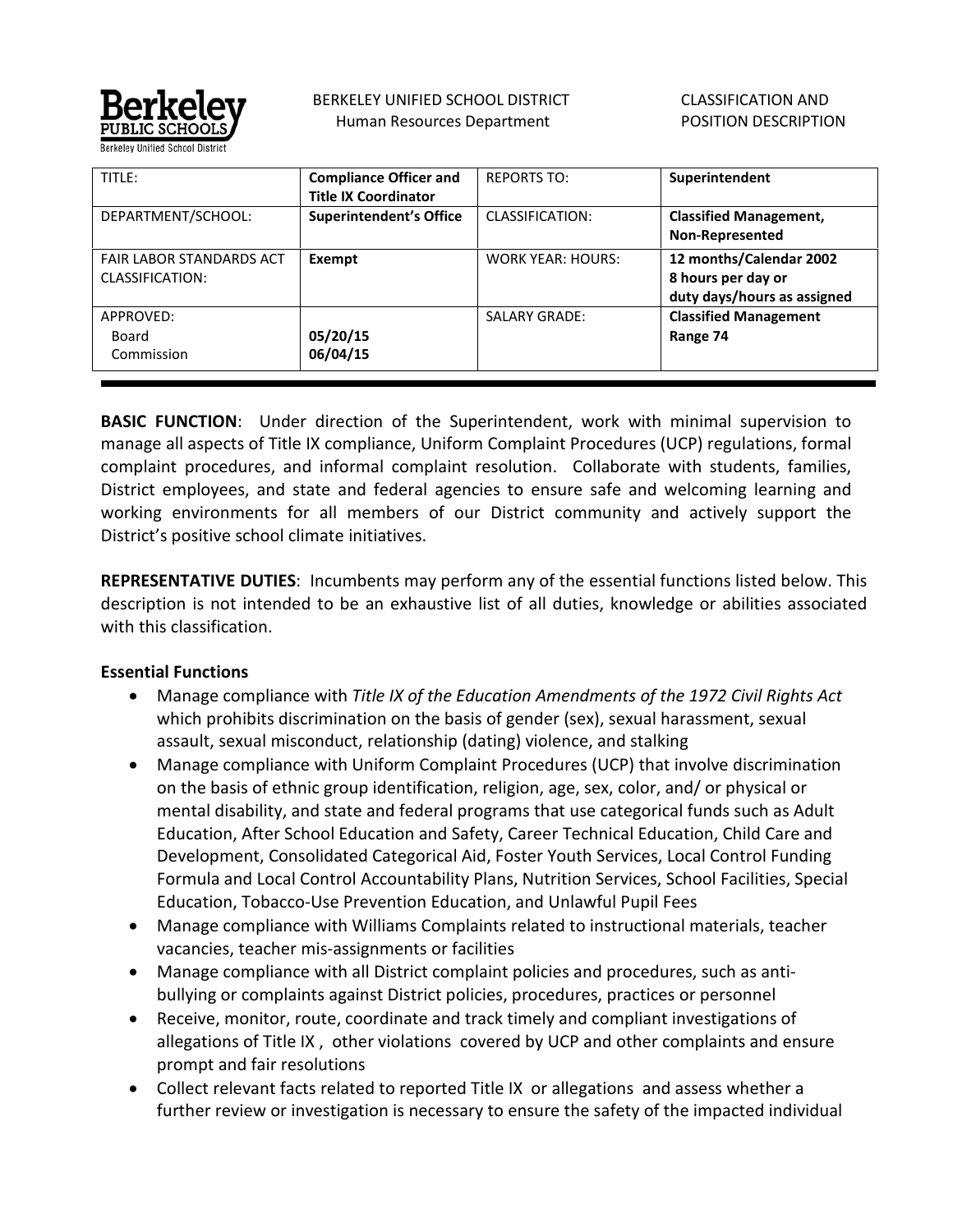

 BERKELEY UNIFIED SCHOOL DISTRICT Human Resources Department

 CLASSIFICATION AND POSITION DESCRIPTION

| TITLE:                                             | <b>Compliance Officer and</b><br><b>Title IX Coordinator</b> | <b>REPORTS TO:</b>       | Superintendent                                                               |
|----------------------------------------------------|--------------------------------------------------------------|--------------------------|------------------------------------------------------------------------------|
| DEPARTMENT/SCHOOL:                                 | <b>Superintendent's Office</b>                               | CLASSIFICATION:          | <b>Classified Management,</b><br><b>Non-Represented</b>                      |
| <b>FAIR LABOR STANDARDS ACT</b><br>CLASSIFICATION: | Exempt                                                       | <b>WORK YEAR: HOURS:</b> | 12 months/Calendar 2002<br>8 hours per day or<br>duty days/hours as assigned |
| APPROVED:<br>Board<br>Commission                   | 05/20/15<br>06/04/15                                         | <b>SALARY GRADE:</b>     | <b>Classified Management</b><br>Range 74                                     |

**BASIC FUNCTION**: Under direction of the Superintendent, work with minimal supervision to manage all aspects of Title IX compliance, Uniform Complaint Procedures (UCP) regulations, formal complaint procedures, and informal complaint resolution. Collaborate with students, families, District employees, and state and federal agencies to ensure safe and welcoming learning and working environments for all members of our District community and actively support the District's positive school climate initiatives.

**REPRESENTATIVE DUTIES**: Incumbents may perform any of the essential functions listed below. This description is not intended to be an exhaustive list of all duties, knowledge or abilities associated with this classification.

### **Essential Functions**

- Manage compliance with *Title IX of the Education Amendments of the 1972 Civil Rights Act* which prohibits discrimination on the basis of gender (sex), sexual harassment, sexual assault, sexual misconduct, relationship (dating) violence, and stalking
- Manage compliance with Uniform Complaint Procedures (UCP) that involve discrimination on the basis of ethnic group identification, religion, age, sex, color, and/ or physical or mental disability, and state and federal programs that use categorical funds such as Adult Education, After School Education and Safety, Career Technical Education, Child Care and Development, Consolidated Categorical Aid, Foster Youth Services, Local Control Funding Formula and Local Control Accountability Plans, Nutrition Services, School Facilities, Special Education, Tobacco-Use Prevention Education, and Unlawful Pupil Fees
- Manage compliance with Williams Complaints related to instructional materials, teacher vacancies, teacher mis-assignments or facilities
- Manage compliance with all District complaint policies and procedures, such as antibullying or complaints against District policies, procedures, practices or personnel
- Receive, monitor, route, coordinate and track timely and compliant investigations of allegations of Title IX , other violations covered by UCP and other complaints and ensure prompt and fair resolutions
- Collect relevant facts related to reported Title IX or allegations and assess whether a further review or investigation is necessary to ensure the safety of the impacted individual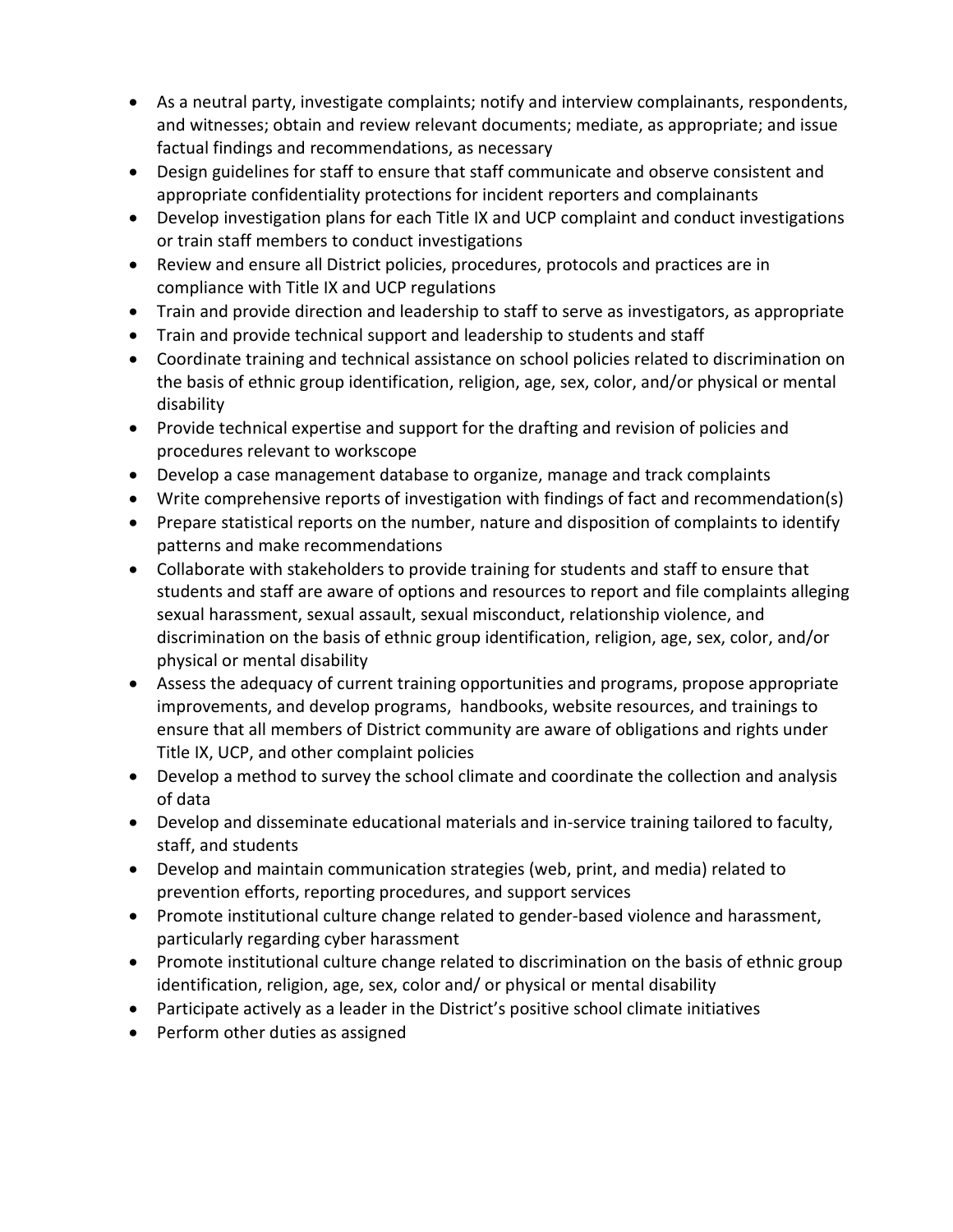- As a neutral party, investigate complaints; notify and interview complainants, respondents, and witnesses; obtain and review relevant documents; mediate, as appropriate; and issue factual findings and recommendations, as necessary
- Design guidelines for staff to ensure that staff communicate and observe consistent and appropriate confidentiality protections for incident reporters and complainants
- Develop investigation plans for each Title IX and UCP complaint and conduct investigations or train staff members to conduct investigations
- Review and ensure all District policies, procedures, protocols and practices are in compliance with Title IX and UCP regulations
- Train and provide direction and leadership to staff to serve as investigators, as appropriate
- Train and provide technical support and leadership to students and staff
- Coordinate training and technical assistance on school policies related to discrimination on the basis of ethnic group identification, religion, age, sex, color, and/or physical or mental disability
- Provide technical expertise and support for the drafting and revision of policies and procedures relevant to workscope
- Develop a case management database to organize, manage and track complaints
- Write comprehensive reports of investigation with findings of fact and recommendation(s)
- Prepare statistical reports on the number, nature and disposition of complaints to identify patterns and make recommendations
- Collaborate with stakeholders to provide training for students and staff to ensure that students and staff are aware of options and resources to report and file complaints alleging sexual harassment, sexual assault, sexual misconduct, relationship violence, and discrimination on the basis of ethnic group identification, religion, age, sex, color, and/or physical or mental disability
- Assess the adequacy of current training opportunities and programs, propose appropriate improvements, and develop programs, handbooks, website resources, and trainings to ensure that all members of District community are aware of obligations and rights under Title IX, UCP, and other complaint policies
- Develop a method to survey the school climate and coordinate the collection and analysis of data
- Develop and disseminate educational materials and in-service training tailored to faculty, staff, and students
- Develop and maintain communication strategies (web, print, and media) related to prevention efforts, reporting procedures, and support services
- Promote institutional culture change related to gender-based violence and harassment, particularly regarding cyber harassment
- Promote institutional culture change related to discrimination on the basis of ethnic group identification, religion, age, sex, color and/ or physical or mental disability
- Participate actively as a leader in the District's positive school climate initiatives
- Perform other duties as assigned